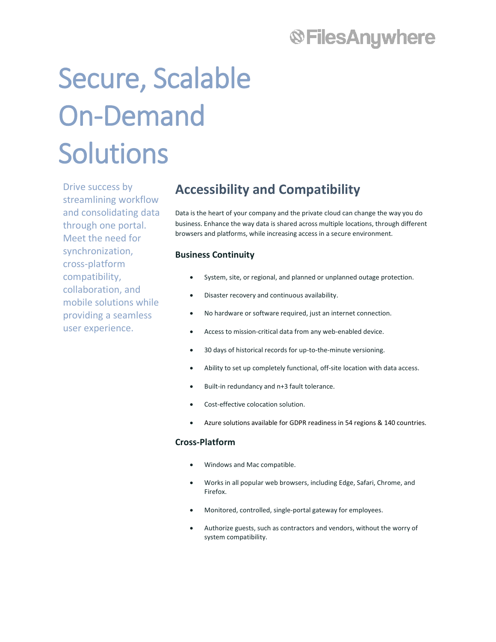## **®FilesAnywhere**

# Secure, Scalable On-Demand Solutions

Drive success by streamlining workflow and consolidating data through one portal. Meet the need for synchronization, cross-platform compatibility, collaboration, and mobile solutions while providing a seamless user experience.

### **Accessibility and Compatibility**

Data is the heart of your company and the private cloud can change the way you do business. Enhance the way data is shared across multiple locations, through different browsers and platforms, while increasing access in a secure environment.

### **Business Continuity**

- System, site, or regional, and planned or unplanned outage protection.
- Disaster recovery and continuous availability.
- No hardware or software required, just an internet connection.
- Access to mission-critical data from any web-enabled device.
- 30 days of historical records for up-to-the-minute versioning.
- Ability to set up completely functional, off-site location with data access.
- Built-in redundancy and n+3 fault tolerance.
- Cost-effective colocation solution.
- Azure solutions available for GDPR readiness in 54 regions & 140 countries.

#### **Cross-Platform**

- Windows and Mac compatible.
- Works in all popular web browsers, including Edge, Safari, Chrome, and Firefox.
- Monitored, controlled, single-portal gateway for employees.
- Authorize guests, such as contractors and vendors, without the worry of system compatibility.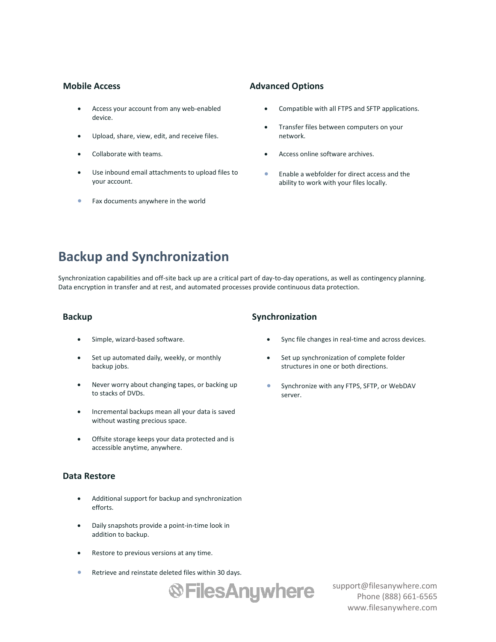#### **Mobile Access**

- Access your account from any web-enabled device.
- Upload, share, view, edit, and receive files.
- Collaborate with teams.
- Use inbound email attachments to upload files to your account.
- Fax documents anywhere in the world

#### **Advanced Options**

- Compatible with all FTPS and SFTP applications.
- Transfer files between computers on your network.
- Access online software archives.
- Enable a webfolder for direct access and the ability to work with your files locally.

### **Backup and Synchronization**

Synchronization capabilities and off-site back up are a critical part of day-to-day operations, as well as contingency planning. Data encryption in transfer and at rest, and automated processes provide continuous data protection.

#### **Backup**

- Simple, wizard-based software.
- Set up automated daily, weekly, or monthly backup jobs.
- Never worry about changing tapes, or backing up to stacks of DVDs.
- Incremental backups mean all your data is saved without wasting precious space.
- Offsite storage keeps your data protected and is accessible anytime, anywhere.

#### **Data Restore**

- Additional support for backup and synchronization efforts.
- Daily snapshots provide a point-in-time look in addition to backup.
- Restore to previous versions at any time.
- Retrieve and reinstate deleted files within 30 days.



support@filesanywhere.com Phone (888) 661-6565 www.filesanywhere.com

### **Synchronization**

- Sync file changes in real-time and across devices.
- Set up synchronization of complete folder structures in one or both directions.
- Synchronize with any FTPS, SFTP, or WebDAV server.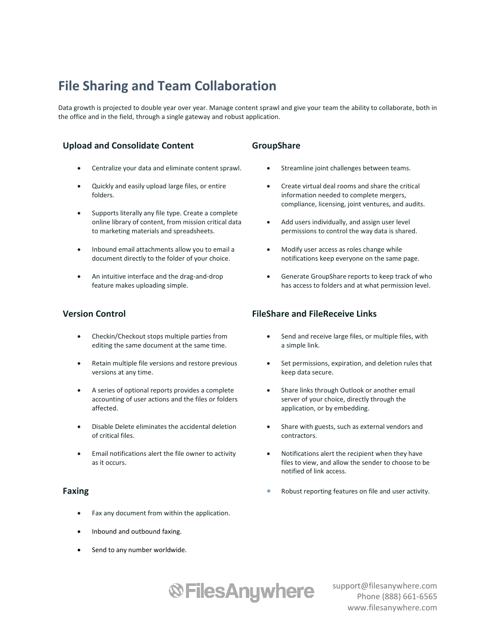### **File Sharing and Team Collaboration**

Data growth is projected to double year over year. Manage content sprawl and give your team the ability to collaborate, both in the office and in the field, through a single gateway and robust application.

### **Upload and Consolidate Content**

- Centralize your data and eliminate content sprawl.
- Quickly and easily upload large files, or entire folders.
- Supports literally any file type. Create a complete online library of content, from mission critical data to marketing materials and spreadsheets.
- Inbound email attachments allow you to email a document directly to the folder of your choice.
- An intuitive interface and the drag-and-drop feature makes uploading simple.

### **Version Control**

- Checkin/Checkout stops multiple parties from editing the same document at the same time.
- Retain multiple file versions and restore previous versions at any time.
- A series of optional reports provides a complete accounting of user actions and the files or folders affected.
- Disable Delete eliminates the accidental deletion of critical files.
- Email notifications alert the file owner to activity as it occurs.

#### **Faxing**

- Fax any document from within the application.
- Inbound and outbound faxing.
- Send to any number worldwide.

### **GroupShare**

- Streamline joint challenges between teams.
- Create virtual deal rooms and share the critical information needed to complete mergers, compliance, licensing, joint ventures, and audits.
- Add users individually, and assign user level permissions to control the way data is shared.
- Modify user access as roles change while notifications keep everyone on the same page.
- Generate GroupShare reports to keep track of who has access to folders and at what permission level.

### **FileShare and FileReceive Links**

- Send and receive large files, or multiple files, with a simple link.
- Set permissions, expiration, and deletion rules that keep data secure.
- Share links through Outlook or another email server of your choice, directly through the application, or by embedding.
- Share with guests, such as external vendors and contractors.
- Notifications alert the recipient when they have files to view, and allow the sender to choose to be notified of link access.
- Robust reporting features on file and user activity.

**®FilesAnywhere**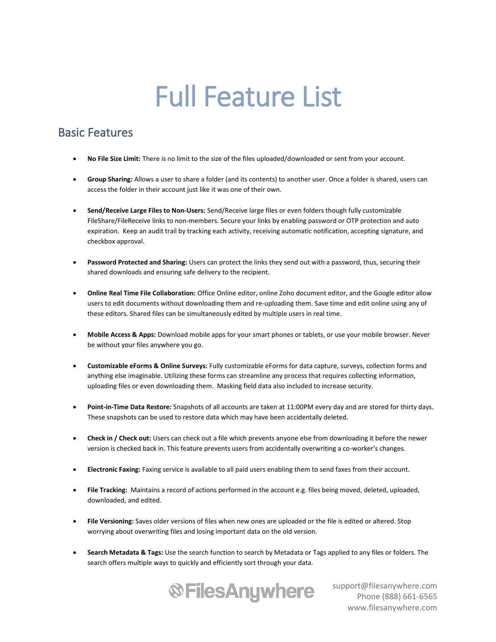## Full Feature List

### Basic Features

- **No File Size Limit:** There is no limit to the size of the files uploaded/downloaded or sent from your account.
- **Group Sharing:** Allows a user to share a folder (and its contents) to another user. Once a folder is shared, users can access the folder in their account just like it was one of their own.
- **Send/Receive Large Files to Non-Users:** Send/Receive large files or even folders though fully customizable FileShare/FileReceive links to non-members. Secure your links by enabling password or OTP protection and auto expiration. Keep an audit trail by tracking each activity, receiving automatic notification, accepting signature, and checkbox approval.
- **Password Protected and Sharing:** Users can protect the links they send out with a password, thus, securing their shared downloads and ensuring safe delivery to the recipient.
- **Online Real Time File Collaboration:** Office Online editor, online Zoho document editor, and the Google editor allow users to edit documents without downloading them and re-uploading them. Save time and edit online using any of these editors. Shared files can be simultaneously edited by multiple users in real time.
- **Mobile Access & Apps:** Download mobile apps for your smart phones or tablets, or use your mobile browser. Never be without your files anywhere you go.
- **Customizable eForms & Online Surveys:** Fully customizable eForms for data capture, surveys, collection forms and anything else imaginable. Utilizing these forms can streamline any process that requires collecting information, uploading files or even downloading them. Masking field data also included to increase security.
- **Point-in-Time Data Restore:** Snapshots of all accounts are taken at 11:00PM every day and are stored for thirty days. These snapshots can be used to restore data which may have been accidentally deleted.
- **Check in / Check out:** Users can check out a file which prevents anyone else from downloading it before the newer version is checked back in. This feature prevents users from accidentally overwriting a co-worker's changes.
- **Electronic Faxing:** Faxing service is available to all paid users enabling them to send faxes from their account.
- **File Tracking:** Maintains a record of actions performed in the account e.g. files being moved, deleted, uploaded, downloaded, and edited.
- **File Versioning:** Saves older versions of files when new ones are uploaded or the file is edited or altered. Stop worrying about overwriting files and losing important data on the old version.
- **Search Metadata & Tags:** Use the search function to search by Metadata or Tags applied to any files or folders. The search offers multiple ways to quickly and efficiently sort through your data.

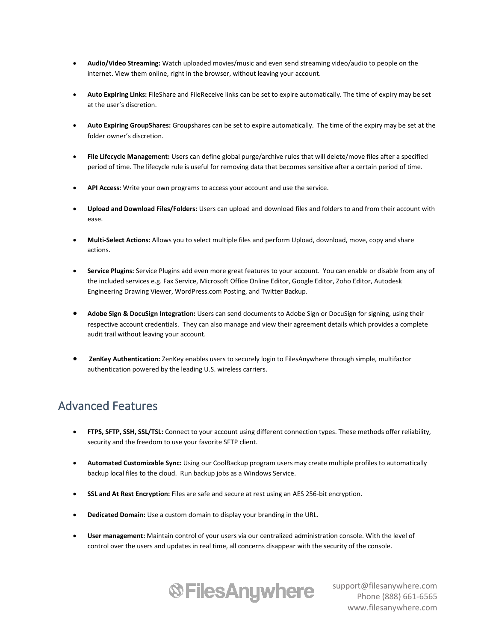- **Audio/Video Streaming:** Watch uploaded movies/music and even send streaming video/audio to people on the internet. View them online, right in the browser, without leaving your account.
- **Auto Expiring Links:** FileShare and FileReceive links can be set to expire automatically. The time of expiry may be set at the user's discretion.
- **Auto Expiring GroupShares:** Groupshares can be set to expire automatically. The time of the expiry may be set at the folder owner's discretion.
- **File Lifecycle Management:** Users can define global purge/archive rules that will delete/move files after a specified period of time. The lifecycle rule is useful for removing data that becomes sensitive after a certain period of time.
- API Access: Write your own programs to access your account and use the service.
- **Upload and Download Files/Folders:** Users can upload and download files and folders to and from their account with ease.
- **Multi-Select Actions:** Allows you to select multiple files and perform Upload, download, move, copy and share actions.
- **Service Plugins:** Service Plugins add even more great features to your account. You can enable or disable from any of the included services e.g. Fax Service, Microsoft Office Online Editor, Google Editor, Zoho Editor, Autodesk Engineering Drawing Viewer, WordPress.com Posting, and Twitter Backup.
- **Adobe Sign & DocuSign Integration:** Users can send documents to Adobe Sign or DocuSign for signing, using their respective account credentials. They can also manage and view their agreement details which provides a complete audit trail without leaving your account.
- **ZenKey Authentication:** ZenKey enables users to securely login to FilesAnywhere through simple, multifactor authentication powered by the leading U.S. wireless carriers.

### Advanced Features

- **FTPS, SFTP, SSH, SSL/TSL:** Connect to your account using different connection types. These methods offer reliability, security and the freedom to use your favorite SFTP client.
- **Automated Customizable Sync:** Using our CoolBackup program users may create multiple profiles to automatically backup local files to the cloud. Run backup jobs as a Windows Service.
- **SSL and At Rest Encryption:** Files are safe and secure at rest using an AES 256-bit encryption.
- **Dedicated Domain:** Use a custom domain to display your branding in the URL.
- **User management:** Maintain control of your users via our centralized administration console. With the level of control over the users and updates in real time, all concerns disappear with the security of the console.

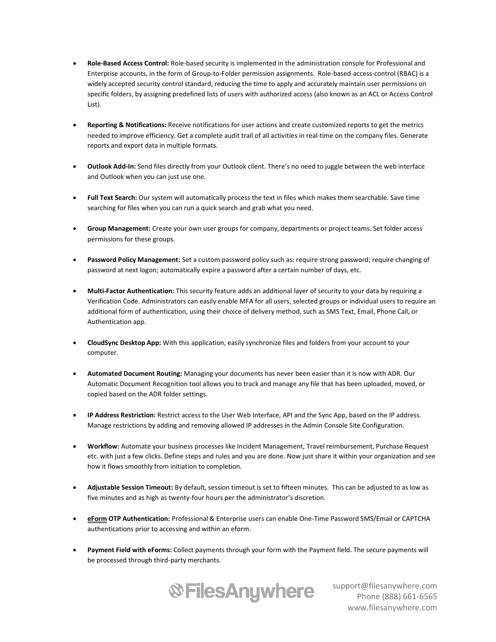- **Role-Based Access Control:** Role-based security is implemented in the administration console for Professional and Enterprise accounts, in the form of Group-to-Folder permission assignments. Role-based-access-control (RBAC) is a widely accepted security control standard, reducing the time to apply and accurately maintain user permissions on specific folders, by assigning predefined lists of users with authorized access (also known as an ACL or Access Control List).
- **Reporting & Notifications:** Receive notifications for user actions and create customized reports to get the metrics needed to improve efficiency. Get a complete audit trail of all activities in real-time on the company files. Generate reports and export data in multiple formats.
- **Outlook Add-In:** Send files directly from your Outlook client. There's no need to juggle between the web interface and Outlook when you can just use one.
- **Full Text Search:** Our system will automatically process the text in files which makes them searchable. Save time searching for files when you can run a quick search and grab what you need.
- **Group Management:** Create your own user groups for company, departments or project teams. Set folder access permissions for these groups.
- **Password Policy Management:** Set a custom password policy such as: require strong password; require changing of password at next logon; automatically expire a password after a certain number of days, etc.
- **Multi-Factor Authentication:** This security feature adds an additional layer of security to your data by requiring a Verification Code. Administrators can easily enable MFA for all users, selected groups or individual users to require an additional form of authentication, using their choice of delivery method, such as SMS Text, Email, Phone Call, or Authentication app.
- **CloudSync Desktop App:** With this application, easily synchronize files and folders from your account to your computer.
- **Automated Document Routing:** Managing your documents has never been easier than it is now with ADR. Our Automatic Document Recognition tool allows you to track and manage any file that has been uploaded, moved, or copied based on the ADR folder settings.
- **IP Address Restriction:** Restrict access to the User Web Interface, API and the Sync App, based on the IP address. Manage restrictions by adding and removing allowed IP addresses in the Admin Console Site Configuration.
- **Workflow:** Automate your business processes like Incident Management, Travel reimbursement, Purchase Request etc. with just a few clicks. Define steps and rules and you are done. Now just share it within your organization and see how it flows smoothly from initiation to completion.
- **Adjustable Session Timeout:** By default, session timeout is set to fifteen minutes. This can be adjusted to as low as five minutes and as high as twenty-four hours per the administrator's discretion.
- **eForm OTP Authentication:** Professional & Enterprise users can enable One-Time Password SMS/Email or CAPTCHA authentications prior to accessing and within an eform.
- **Payment Field with eForms:** Collect payments through your form with the Payment field. The secure payments will be processed through third-party merchants.